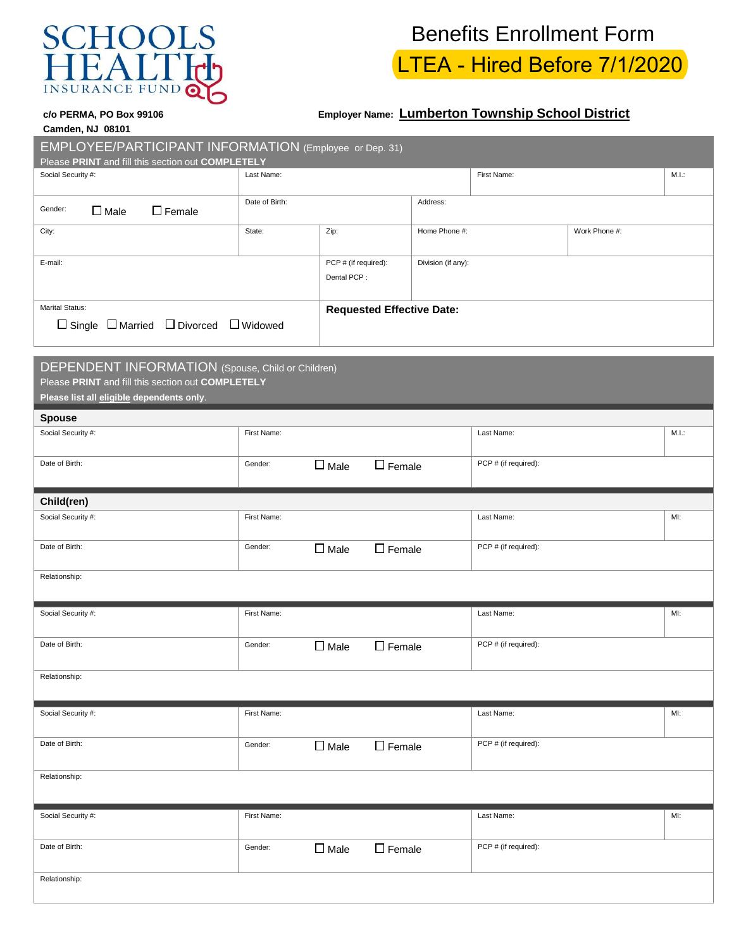

## Benefits Enrollment Form LTEA - Hired Before 7/1/2020

## **c/o PERMA, PO Box 99106 Employer Name: Lumberton Township School District**

| <b>Camden, NJ 08101</b> |  |  |
|-------------------------|--|--|

| EMPLOYEE/PARTICIPANT INFORMATION (Employee or Dep. 31)<br>Please PRINT and fill this section out COMPLETELY                                         |                                  |                                     |                                       |                      |            |       |  |  |  |
|-----------------------------------------------------------------------------------------------------------------------------------------------------|----------------------------------|-------------------------------------|---------------------------------------|----------------------|------------|-------|--|--|--|
| Social Security #:<br>Last Name:                                                                                                                    |                                  |                                     |                                       | First Name:          |            | M.I.: |  |  |  |
| Date of Birth:<br>Gender:<br>$\Box$ Female<br>$\Box$ Male                                                                                           |                                  | Address:                            |                                       |                      |            |       |  |  |  |
| City:<br>State:                                                                                                                                     |                                  | Zip:                                | Work Phone #:<br>Home Phone #:        |                      |            |       |  |  |  |
| E-mail:                                                                                                                                             |                                  | PCP # (if required):<br>Dental PCP: | Division (if any):                    |                      |            |       |  |  |  |
| <b>Marital Status:</b><br>$\Box$ Single $\Box$ Married $\Box$ Divorced $\Box$ Widowed                                                               | <b>Requested Effective Date:</b> |                                     |                                       |                      |            |       |  |  |  |
| DEPENDENT INFORMATION (Spouse, Child or Children)<br>Please PRINT and fill this section out COMPLETELY<br>Please list all eligible dependents only. |                                  |                                     |                                       |                      |            |       |  |  |  |
| <b>Spouse</b>                                                                                                                                       |                                  |                                     |                                       |                      |            | M.I.: |  |  |  |
| Social Security #:<br>First Name:                                                                                                                   |                                  |                                     |                                       |                      | Last Name: |       |  |  |  |
| Date of Birth:<br>Gender:                                                                                                                           |                                  | $\square$ Male                      | PCP # (if required):<br>$\Box$ Female |                      |            |       |  |  |  |
| Child(ren)                                                                                                                                          |                                  |                                     |                                       |                      |            |       |  |  |  |
| Social Security #:                                                                                                                                  | First Name:                      |                                     |                                       | Last Name:           |            | MI:   |  |  |  |
| Date of Birth:                                                                                                                                      | $\Box$ Female<br>$\Box$ Male     |                                     | PCP # (if required):                  |                      |            |       |  |  |  |
| Relationship:                                                                                                                                       |                                  |                                     |                                       |                      |            |       |  |  |  |
| Social Security #:<br>First Name:                                                                                                                   |                                  |                                     |                                       | Last Name:           |            | MI:   |  |  |  |
| Date of Birth:<br>Gender:                                                                                                                           |                                  | $\Box$ Female<br>$\square$ Male     |                                       | PCP # (if required): |            |       |  |  |  |
| Relationship:                                                                                                                                       |                                  |                                     |                                       |                      |            |       |  |  |  |
| Social Security #:                                                                                                                                  | First Name:                      |                                     |                                       | Last Name:           |            | MI:   |  |  |  |
| Date of Birth:<br>Gender:                                                                                                                           |                                  | $\Box$ Female<br>$\square$ Male     |                                       | PCP # (if required): |            |       |  |  |  |
| Relationship:                                                                                                                                       |                                  |                                     |                                       |                      |            |       |  |  |  |
| Social Security #:                                                                                                                                  | First Name:                      |                                     |                                       | Last Name:           |            | MI:   |  |  |  |
| Date of Birth:<br>Gender:                                                                                                                           |                                  | $\square$ Female<br>$\Box$ Male     | PCP # (if required):                  |                      |            |       |  |  |  |
| Relationship:                                                                                                                                       |                                  |                                     |                                       |                      |            |       |  |  |  |